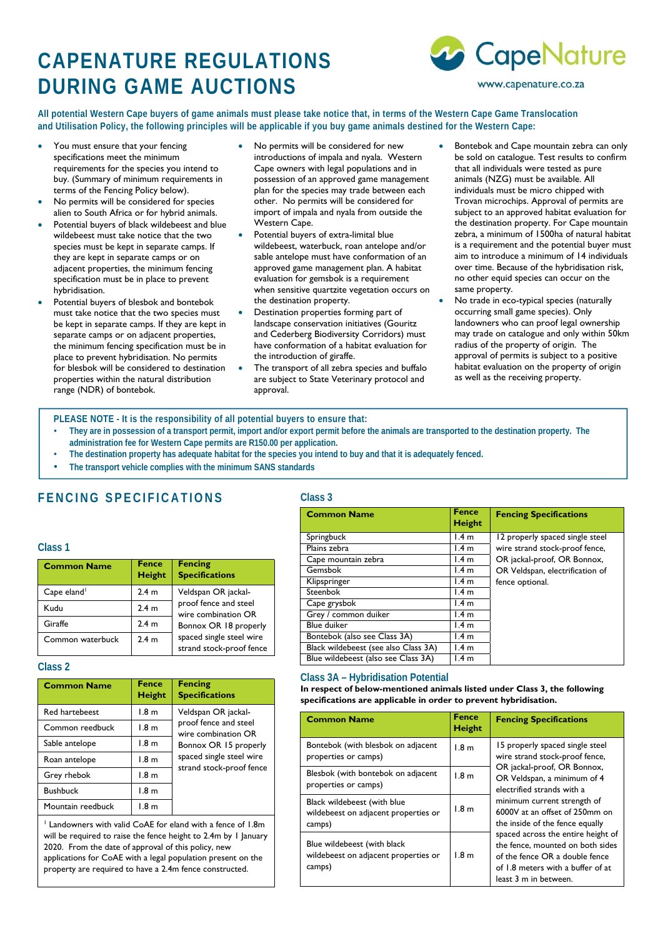# **CAPENATURE REGULATIONS DURING GAME AUCTIONS**



**All potential Western Cape buyers of game animals must please take notice that, in terms of the Western Cape Game Translocation and Utilisation Policy, the following principles will be applicable if you buy game animals destined for the Western Cape:** 

- You must ensure that your fencing specifications meet the minimum requirements for the species you intend to buy. (Summary of minimum requirements in terms of the Fencing Policy below).
- No permits will be considered for species alien to South Africa or for hybrid animals.
- Potential buyers of black wildebeest and blue wildebeest must take notice that the two species must be kept in separate camps. If they are kept in separate camps or on adjacent properties, the minimum fencing specification must be in place to prevent hybridisation.
- Potential buyers of blesbok and bontebok must take notice that the two species must be kept in separate camps. If they are kept in separate camps or on adjacent properties, the minimum fencing specification must be in place to prevent hybridisation. No permits for blesbok will be considered to destination properties within the natural distribution range (NDR) of bontebok.
- No permits will be considered for new introductions of impala and nyala. Western Cape owners with legal populations and in possession of an approved game management plan for the species may trade between each other. No permits will be considered for import of impala and nyala from outside the Western Cape.
- Potential buyers of extra-limital blue wildebeest, waterbuck, roan antelope and/or sable antelope must have conformation of an approved game management plan. A habitat evaluation for gemsbok is a requirement when sensitive quartzite vegetation occurs on the destination property.
- Destination properties forming part of landscape conservation initiatives (Gouritz and Cederberg Biodiversity Corridors) must have conformation of a habitat evaluation for the introduction of giraffe.
- The transport of all zebra species and buffalo are subject to State Veterinary protocol and approval.
- Bontebok and Cape mountain zebra can only be sold on catalogue. Test results to confirm that all individuals were tested as pure animals (NZG) must be available. All individuals must be micro chipped with Trovan microchips. Approval of permits are subject to an approved habitat evaluation for the destination property. For Cape mountain zebra, a minimum of 1500ha of natural habitat is a requirement and the potential buyer must aim to introduce a minimum of 14 individuals over time. Because of the hybridisation risk, no other equid species can occur on the same property.
- No trade in eco-typical species (naturally occurring small game species). Only landowners who can proof legal ownership may trade on catalogue and only within 50km radius of the property of origin. The approval of permits is subject to a positive habitat evaluation on the property of origin as well as the receiving property.

**PLEASE NOTE - It is the responsibility of all potential buyers to ensure that:** 

- **They are in possession of a transport permit, import and/or export permit before the animals are transported to the destination property. The administration fee for Western Cape permits are R150.00 per application.**
- **The destination property has adequate habitat for the species you intend to buy and that it is adequately fenced.**
- **The transport vehicle complies with the minimum SANS standards**

### **FENCING SPECIFICATIONS**

### **Class 1**

| <b>Common Name</b>      | <b>Fence</b><br><b>Height</b> | <b>Fencing</b><br><b>Specifications</b>              |
|-------------------------|-------------------------------|------------------------------------------------------|
| Cape eland <sup>1</sup> | 2.4 <sub>m</sub>              | Veldspan OR jackal-                                  |
| Kudu                    | 2.4 <sub>m</sub>              | proof fence and steel<br>wire combination OR         |
| Giraffe                 | 2.4 <sub>m</sub>              | Bonnox OR 18 properly                                |
| Common waterbuck        | 2.4 <sub>m</sub>              | spaced single steel wire<br>strand stock-proof fence |

### **Class 2**

| <b>Common Name</b> | <b>Fence</b><br>Height | <b>Fencing</b><br><b>Specifications</b>      |
|--------------------|------------------------|----------------------------------------------|
| Red hartebeest     | 1.8 <sub>m</sub>       | Veldspan OR jackal-                          |
| Common reedbuck    | 1.8 <sub>m</sub>       | proof fence and steel<br>wire combination OR |
| Sable antelope     | 1.8 <sub>m</sub>       | Bonnox OR 15 properly                        |
| Roan antelope      | 1.8 <sub>m</sub>       | spaced single steel wire                     |
| Grey rhebok        | 1.8 <sub>m</sub>       | strand stock-proof fence                     |
| <b>Bushbuck</b>    | 1.8 <sub>m</sub>       |                                              |
| Mountain reedbuck  | 1.8 <sub>m</sub>       |                                              |

<sup>1</sup> Landowners with valid CoAE for eland with a fence of 1.8m will be required to raise the fence height to 2.4m by 1 January 2020. From the date of approval of this policy, new applications for CoAE with a legal population present on the property are required to have a 2.4m fence constructed.

### **Class 3**

| <b>Common Name</b>                   | <b>Fence</b><br><b>Height</b> | <b>Fencing Specifications</b>   |
|--------------------------------------|-------------------------------|---------------------------------|
| Springbuck                           | 1.4 <sub>m</sub>              | 12 properly spaced single steel |
| Plains zebra                         | 1.4 <sub>m</sub>              | wire strand stock-proof fence,  |
| Cape mountain zebra                  | 1.4 <sub>m</sub>              | OR jackal-proof, OR Bonnox,     |
| Gemsbok                              | 1.4 <sub>m</sub>              | OR Veldspan, electrification of |
| Klipspringer                         | 1.4 <sub>m</sub>              | fence optional.                 |
| Steenbok                             | 1.4 <sub>m</sub>              |                                 |
| Cape grysbok                         | 1.4 <sub>m</sub>              |                                 |
| Grey / common duiker                 | 1.4 <sub>m</sub>              |                                 |
| Blue duiker                          | 1.4 <sub>m</sub>              |                                 |
| Bontebok (also see Class 3A)         | 1.4 <sub>m</sub>              |                                 |
| Black wildebeest (see also Class 3A) | 1.4 <sub>m</sub>              |                                 |
| Blue wildebeest (also see Class 3A)  | 1.4 <sub>m</sub>              |                                 |

### **Class 3A – Hybridisation Potential**

**In respect of below-mentioned animals listed under Class 3, the following specifications are applicable in order to prevent hybridisation.** 

| <b>Common Name</b>                                                            | <b>Fence</b><br><b>Height</b> | <b>Fencing Specifications</b>                                                                                                                                          |
|-------------------------------------------------------------------------------|-------------------------------|------------------------------------------------------------------------------------------------------------------------------------------------------------------------|
| Bontebok (with blesbok on adjacent<br>properties or camps)                    | 1.8 <sub>m</sub>              | 15 properly spaced single steel<br>wire strand stock-proof fence,                                                                                                      |
| Blesbok (with bontebok on adjacent<br>properties or camps)                    | 1.8 <sub>m</sub>              | OR jackal-proof, OR Bonnox,<br>OR Veldspan, a minimum of 4<br>electrified strands with a                                                                               |
| Black wildebeest (with blue<br>wildebeest on adjacent properties or<br>camps) | 1.8 <sub>m</sub>              | minimum current strength of<br>6000V at an offset of 250mm on<br>the inside of the fence equally                                                                       |
| Blue wildebeest (with black<br>wildebeest on adjacent properties or<br>camps) | 1.8 <sub>m</sub>              | spaced across the entire height of<br>the fence, mounted on both sides<br>of the fence OR a double fence<br>of 1.8 meters with a buffer of at<br>least 3 m in between. |